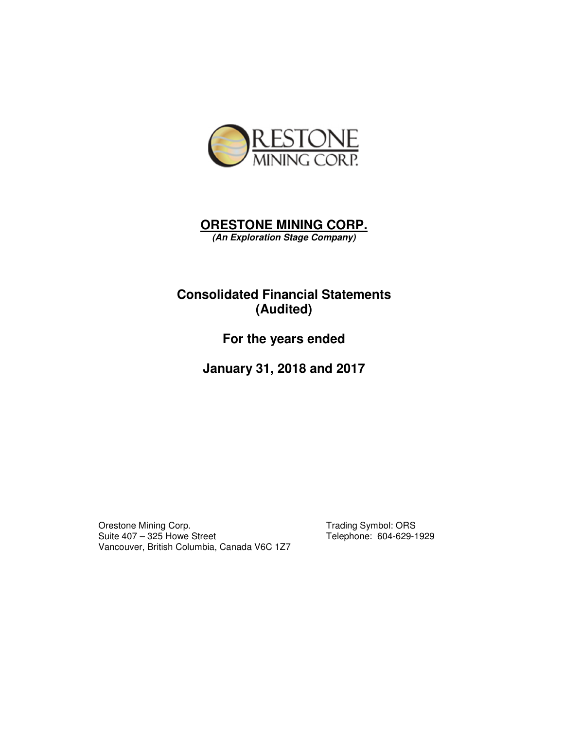

# **ORESTONE MINING CORP. (An Exploration Stage Company)**

# **Consolidated Financial Statements (Audited)**

# **For the years ended**

**January 31, 2018 and 2017** 

Orestone Mining Corp.<br>
Suite 407 – 325 Howe Street<br>
Telephone: 604-629-1929 Suite  $407 - 325$  Howe Street Vancouver, British Columbia, Canada V6C 1Z7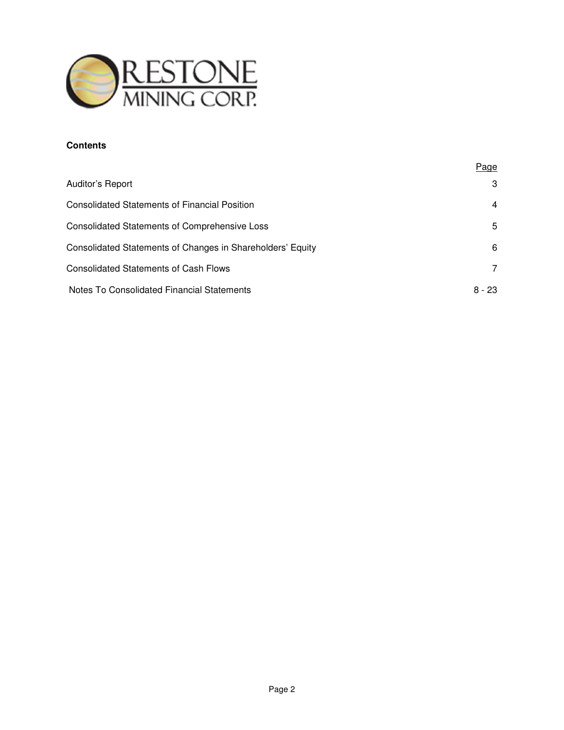

## **Contents**

|                                                            | Page     |
|------------------------------------------------------------|----------|
| Auditor's Report                                           | 3        |
| Consolidated Statements of Financial Position              | 4        |
| <b>Consolidated Statements of Comprehensive Loss</b>       | 5        |
| Consolidated Statements of Changes in Shareholders' Equity | 6        |
| <b>Consolidated Statements of Cash Flows</b>               | 7        |
| Notes To Consolidated Financial Statements                 | $8 - 23$ |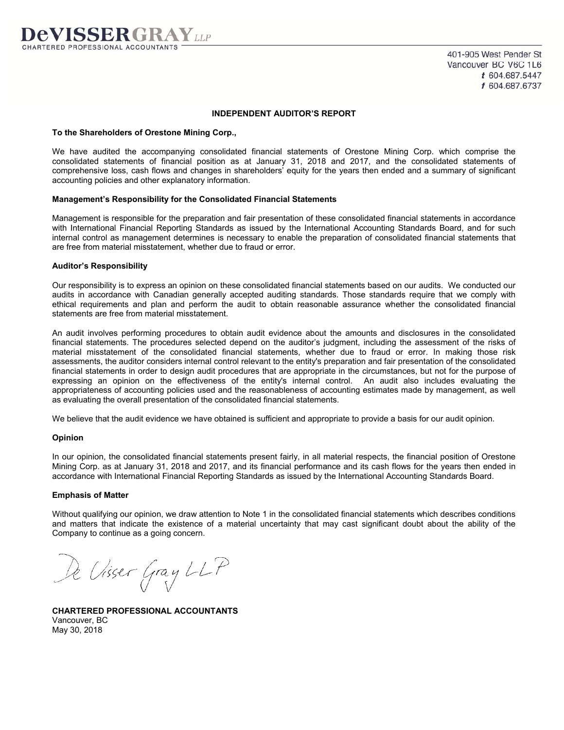**DeVISSER GRAY** CHARTERED PROFESSIONAL ACCOUNTANTS

401-905 West Pender St Vancouver BC V6C 1L6 t 604.687.5447 f 604.687.6737

#### **INDEPENDENT AUDITOR'S REPORT**

#### **To the Shareholders of Orestone Mining Corp.,**

We have audited the accompanying consolidated financial statements of Orestone Mining Corp. which comprise the consolidated statements of financial position as at January 31, 2018 and 2017, and the consolidated statements of comprehensive loss, cash flows and changes in shareholders' equity for the years then ended and a summary of significant accounting policies and other explanatory information.

#### **Management's Responsibility for the Consolidated Financial Statements**

Management is responsible for the preparation and fair presentation of these consolidated financial statements in accordance with International Financial Reporting Standards as issued by the International Accounting Standards Board, and for such internal control as management determines is necessary to enable the preparation of consolidated financial statements that are free from material misstatement, whether due to fraud or error.

#### **Auditor's Responsibility**

Our responsibility is to express an opinion on these consolidated financial statements based on our audits. We conducted our audits in accordance with Canadian generally accepted auditing standards. Those standards require that we comply with ethical requirements and plan and perform the audit to obtain reasonable assurance whether the consolidated financial statements are free from material misstatement.

An audit involves performing procedures to obtain audit evidence about the amounts and disclosures in the consolidated financial statements. The procedures selected depend on the auditor's judgment, including the assessment of the risks of material misstatement of the consolidated financial statements, whether due to fraud or error. In making those risk assessments, the auditor considers internal control relevant to the entity's preparation and fair presentation of the consolidated financial statements in order to design audit procedures that are appropriate in the circumstances, but not for the purpose of expressing an opinion on the effectiveness of the entity's internal control. An audit also includes evaluating the appropriateness of accounting policies used and the reasonableness of accounting estimates made by management, as well as evaluating the overall presentation of the consolidated financial statements.

We believe that the audit evidence we have obtained is sufficient and appropriate to provide a basis for our audit opinion.

#### **Opinion**

In our opinion, the consolidated financial statements present fairly, in all material respects, the financial position of Orestone Mining Corp. as at January 31, 2018 and 2017, and its financial performance and its cash flows for the years then ended in accordance with International Financial Reporting Standards as issued by the International Accounting Standards Board.

#### **Emphasis of Matter**

Without qualifying our opinion, we draw attention to Note 1 in the consolidated financial statements which describes conditions and matters that indicate the existence of a material uncertainty that may cast significant doubt about the ability of the Company to continue as a going concern.

De Visser Gray LLP

**CHARTERED PROFESSIONAL ACCOUNTANTS**  Vancouver, BC May 30, 2018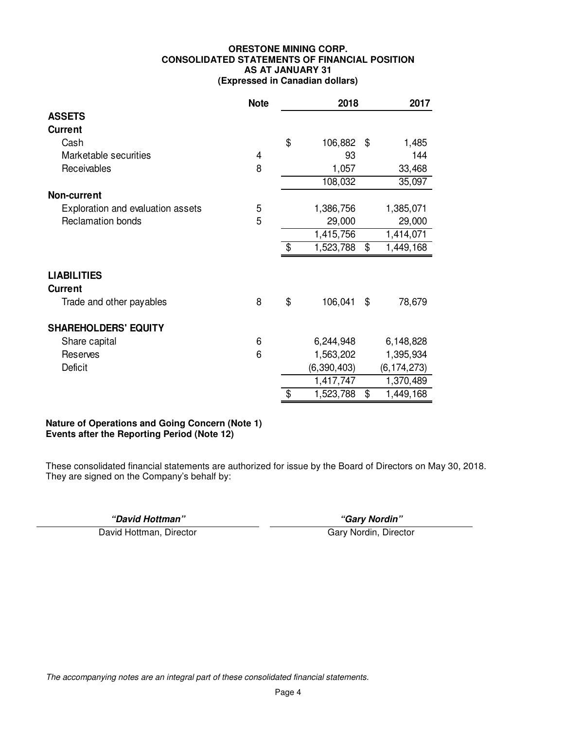#### **ORESTONE MINING CORP. CONSOLIDATED STATEMENTS OF FINANCIAL POSITION AS AT JANUARY 31 (Expressed in Canadian dollars)**

|                                   | <b>Note</b> | 2018 |             |     | 2017          |  |  |
|-----------------------------------|-------------|------|-------------|-----|---------------|--|--|
| <b>ASSETS</b>                     |             |      |             |     |               |  |  |
| <b>Current</b>                    |             |      |             |     |               |  |  |
| Cash                              |             | \$   | 106,882     | -\$ | 1,485         |  |  |
| Marketable securities             | 4           |      | 93          |     | 144           |  |  |
| Receivables                       | 8           |      | 1,057       |     | 33,468        |  |  |
|                                   |             |      | 108,032     |     | 35,097        |  |  |
| Non-current                       |             |      |             |     |               |  |  |
| Exploration and evaluation assets | 5           |      | 1,386,756   |     | 1,385,071     |  |  |
| <b>Reclamation bonds</b>          | 5           |      | 29,000      |     | 29,000        |  |  |
|                                   |             |      | 1,415,756   |     | 1,414,071     |  |  |
|                                   |             | \$   | 1,523,788   | \$  | 1,449,168     |  |  |
|                                   |             |      |             |     |               |  |  |
| <b>LIABILITIES</b>                |             |      |             |     |               |  |  |
| <b>Current</b>                    |             |      |             |     |               |  |  |
| Trade and other payables          | 8           | \$   | 106,041     | \$  | 78,679        |  |  |
| <b>SHAREHOLDERS' EQUITY</b>       |             |      |             |     |               |  |  |
| Share capital                     | 6           |      | 6,244,948   |     | 6,148,828     |  |  |
|                                   | 6           |      |             |     |               |  |  |
| Reserves                          |             |      | 1,563,202   |     | 1,395,934     |  |  |
| <b>Deficit</b>                    |             |      | (6,390,403) |     | (6, 174, 273) |  |  |
|                                   |             |      | 1,417,747   |     | 1,370,489     |  |  |
|                                   |             | \$   | 1,523,788   | \$  | 1,449,168     |  |  |

## **Nature of Operations and Going Concern (Note 1) Events after the Reporting Period (Note 12)**

These consolidated financial statements are authorized for issue by the Board of Directors on May 30, 2018. They are signed on the Company's behalf by:

**"David Hottman" "Gary Nordin"** 

David Hottman, Director Gary Nordin, Director

The accompanying notes are an integral part of these consolidated financial statements.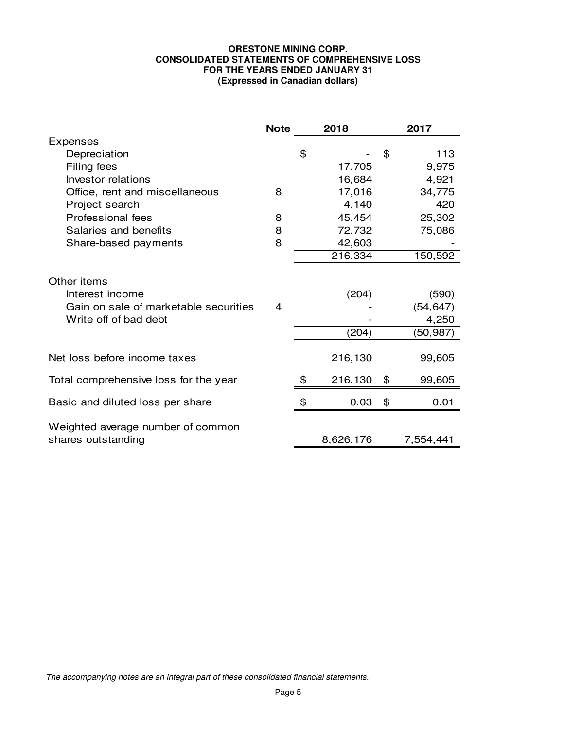#### **ORESTONE MINING CORP. CONSOLIDATED STATEMENTS OF COMPREHENSIVE LOSS FOR THE YEARS ENDED JANUARY 31 (Expressed in Canadian dollars)**

|                                                                                                  | <b>Note</b> | 2018           | 2017 |                                          |  |
|--------------------------------------------------------------------------------------------------|-------------|----------------|------|------------------------------------------|--|
| <b>Expenses</b>                                                                                  |             |                |      |                                          |  |
| Depreciation                                                                                     |             | \$             | \$   | 113                                      |  |
| Filing fees                                                                                      |             | 17,705         |      | 9,975                                    |  |
| <b>Investor relations</b>                                                                        |             | 16,684         |      | 4,921                                    |  |
| Office, rent and miscellaneous                                                                   | 8           | 17,016         |      | 34,775                                   |  |
| Project search                                                                                   |             | 4,140          |      | 420                                      |  |
| Professional fees                                                                                | 8           | 45,454         |      | 25,302                                   |  |
| Salaries and benefits                                                                            | 8           | 72,732         |      | 75,086                                   |  |
| Share-based payments                                                                             | 8           | 42,603         |      |                                          |  |
|                                                                                                  |             | 216,334        |      | 150,592                                  |  |
| Other items<br>Interest income<br>Gain on sale of marketable securities<br>Write off of bad debt | 4           | (204)<br>(204) |      | (590)<br>(54, 647)<br>4,250<br>(50, 987) |  |
| Net loss before income taxes                                                                     |             | 216,130        |      | 99,605                                   |  |
| Total comprehensive loss for the year                                                            |             | \$<br>216,130  | \$   | 99,605                                   |  |
| Basic and diluted loss per share                                                                 |             | \$<br>0.03     | \$   | 0.01                                     |  |
| Weighted average number of common<br>shares outstanding                                          |             | 8,626,176      |      | 7,554,441                                |  |

The accompanying notes are an integral part of these consolidated financial statements.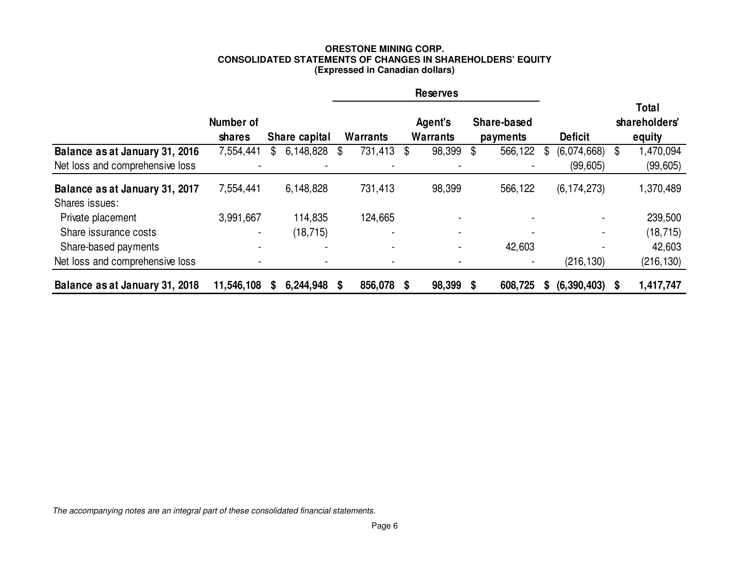### **ORESTONE MINING CORP. CONSOLIDATED STATEMENTS OF CHANGES IN SHAREHOLDERS' EQUITY (Expressed in Canadian dollars)**

|                                                  |                              |    |               |                 |    | <b>Reserves</b>          |      |                         |                        |                                         |
|--------------------------------------------------|------------------------------|----|---------------|-----------------|----|--------------------------|------|-------------------------|------------------------|-----------------------------------------|
|                                                  | Number of<br>shares          |    | Share capital | <b>Warrants</b> |    | Agent's<br>Warrants      |      | Share-based<br>payments | <b>Deficit</b>         | <b>Total</b><br>shareholders'<br>equity |
| Balance as at January 31, 2016                   | 7,554,441                    | \$ | 6,148,828     | 731,413<br>\$   | \$ | 98,399                   | \$   | 566,122                 | \$<br>(6,074,668)      | \$<br>,470,094                          |
| Net loss and comprehensive loss                  |                              |    |               |                 |    |                          |      |                         | (99, 605)              | (99, 605)                               |
| Balance as at January 31, 2017<br>Shares issues: | 7,554,441                    |    | 6,148,828     | 731,413         |    | 98,399                   |      | 566,122                 | (6, 174, 273)          | 370,489,                                |
| Private placement                                | 3,991,667                    |    | 114,835       | 124,665         |    |                          |      |                         |                        | 239,500                                 |
| Share issurance costs                            | $\overline{\phantom{a}}$     |    | (18, 715)     |                 |    |                          |      |                         |                        | (18, 715)                               |
| Share-based payments                             |                              |    |               |                 |    | $\overline{\phantom{0}}$ |      | 42,603                  |                        | 42,603                                  |
| Net loss and comprehensive loss                  | $\qquad \qquad \blacksquare$ |    |               |                 |    |                          |      |                         | (216, 130)             | (216, 130)                              |
| Balance as at January 31, 2018                   | 11,546,108                   | S  | 6,244,948     | 856,078 \$<br>S |    | 98,399                   | - \$ | 608,725                 | \$<br>$(6,390,403)$ \$ | 1,417,747                               |

The accompanying notes are an integral part of these consolidated financial statements.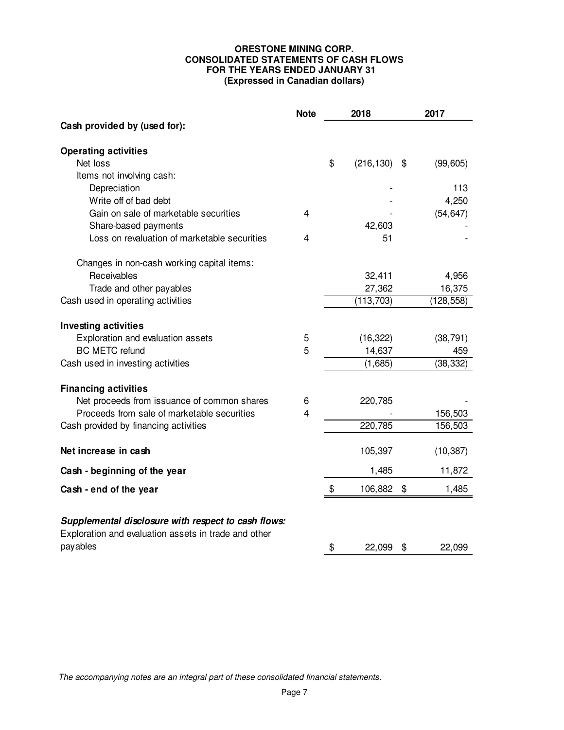#### **ORESTONE MINING CORP. CONSOLIDATED STATEMENTS OF CASH FLOWS FOR THE YEARS ENDED JANUARY 31 (Expressed in Canadian dollars)**

|                                                      | <b>Note</b> | 2018  |            |      | 2017       |  |  |  |
|------------------------------------------------------|-------------|-------|------------|------|------------|--|--|--|
| Cash provided by (used for):                         |             |       |            |      |            |  |  |  |
| <b>Operating activities</b>                          |             |       |            |      |            |  |  |  |
| Net loss                                             |             | \$    | (216, 130) | - \$ | (99, 605)  |  |  |  |
| Items not involving cash:                            |             |       |            |      |            |  |  |  |
| Depreciation                                         |             |       |            |      | 113        |  |  |  |
| Write off of bad debt                                |             |       |            |      | 4,250      |  |  |  |
| Gain on sale of marketable securities                | 4           |       |            |      | (54, 647)  |  |  |  |
| Share-based payments                                 |             |       | 42,603     |      |            |  |  |  |
| Loss on revaluation of marketable securities         | 4           |       | 51         |      |            |  |  |  |
| Changes in non-cash working capital items:           |             |       |            |      |            |  |  |  |
| Receivables                                          |             |       | 32,411     |      | 4,956      |  |  |  |
| Trade and other payables                             |             |       | 27,362     |      | 16,375     |  |  |  |
| Cash used in operating activities                    |             |       | (113, 703) |      | (128, 558) |  |  |  |
| <b>Investing activities</b>                          |             |       |            |      |            |  |  |  |
| Exploration and evaluation assets                    | 5           |       | (16, 322)  |      | (38, 791)  |  |  |  |
| <b>BC METC refund</b>                                | 5           |       | 14,637     |      | 459        |  |  |  |
| Cash used in investing activities                    |             |       | (1,685)    |      | (38, 332)  |  |  |  |
| <b>Financing activities</b>                          |             |       |            |      |            |  |  |  |
| Net proceeds from issuance of common shares          | 6           |       | 220,785    |      |            |  |  |  |
| Proceeds from sale of marketable securities          | 4           |       |            |      | 156,503    |  |  |  |
| Cash provided by financing activities                |             |       | 220,785    |      | 156,503    |  |  |  |
| Net increase in cash                                 |             |       | 105,397    |      | (10, 387)  |  |  |  |
| Cash - beginning of the year                         |             |       | 1,485      |      | 11,872     |  |  |  |
| Cash - end of the year                               |             | $\$\$ | 106,882    | - \$ | 1,485      |  |  |  |
|                                                      |             |       |            |      |            |  |  |  |
| Supplemental disclosure with respect to cash flows:  |             |       |            |      |            |  |  |  |
| Exploration and evaluation assets in trade and other |             |       |            |      |            |  |  |  |
| payables                                             |             | \$    | 22,099     | \$   | 22,099     |  |  |  |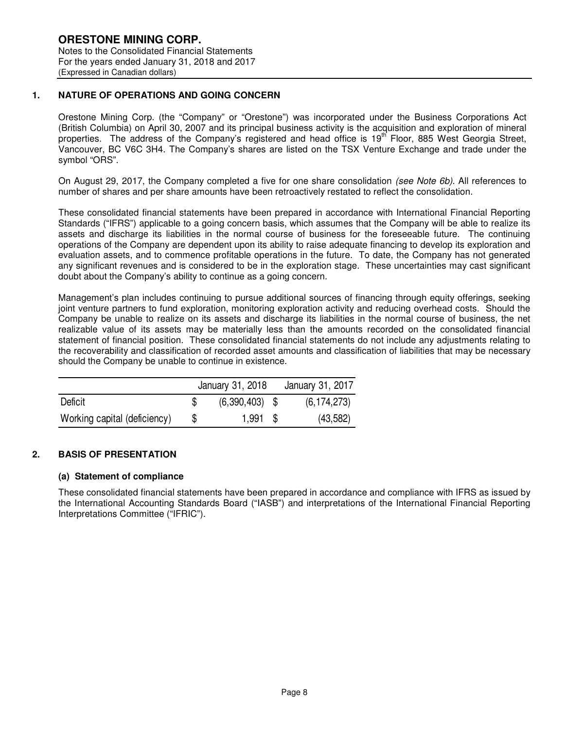### **1. NATURE OF OPERATIONS AND GOING CONCERN**

Orestone Mining Corp. (the "Company" or "Orestone") was incorporated under the Business Corporations Act (British Columbia) on April 30, 2007 and its principal business activity is the acquisition and exploration of mineral properties. The address of the Company's registered and head office is 19<sup>th</sup> Floor, 885 West Georgia Street, Vancouver, BC V6C 3H4. The Company's shares are listed on the TSX Venture Exchange and trade under the symbol "ORS".

On August 29, 2017, the Company completed a five for one share consolidation (see Note 6b). All references to number of shares and per share amounts have been retroactively restated to reflect the consolidation.

These consolidated financial statements have been prepared in accordance with International Financial Reporting Standards ("IFRS") applicable to a going concern basis, which assumes that the Company will be able to realize its assets and discharge its liabilities in the normal course of business for the foreseeable future. The continuing operations of the Company are dependent upon its ability to raise adequate financing to develop its exploration and evaluation assets, and to commence profitable operations in the future. To date, the Company has not generated any significant revenues and is considered to be in the exploration stage. These uncertainties may cast significant doubt about the Company's ability to continue as a going concern.

Management's plan includes continuing to pursue additional sources of financing through equity offerings, seeking joint venture partners to fund exploration, monitoring exploration activity and reducing overhead costs. Should the Company be unable to realize on its assets and discharge its liabilities in the normal course of business, the net realizable value of its assets may be materially less than the amounts recorded on the consolidated financial statement of financial position. These consolidated financial statements do not include any adjustments relating to the recoverability and classification of recorded asset amounts and classification of liabilities that may be necessary should the Company be unable to continue in existence.

|                              | January 31, 2018 | January 31, 2017 |
|------------------------------|------------------|------------------|
| Deficit                      | $(6,390,403)$ \$ | (6, 174, 273)    |
| Working capital (deficiency) | \$<br>1,991 \$   | (43, 582)        |

## **2. BASIS OF PRESENTATION**

#### **(a) Statement of compliance**

These consolidated financial statements have been prepared in accordance and compliance with IFRS as issued by the International Accounting Standards Board ("IASB") and interpretations of the International Financial Reporting Interpretations Committee ("IFRIC").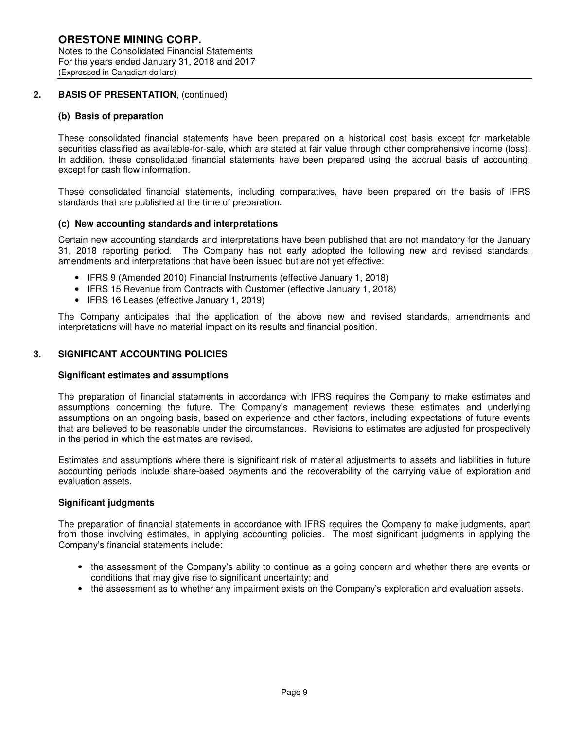#### **2. BASIS OF PRESENTATION**, (continued)

#### **(b) Basis of preparation**

These consolidated financial statements have been prepared on a historical cost basis except for marketable securities classified as available-for-sale, which are stated at fair value through other comprehensive income (loss). In addition, these consolidated financial statements have been prepared using the accrual basis of accounting, except for cash flow information.

These consolidated financial statements, including comparatives, have been prepared on the basis of IFRS standards that are published at the time of preparation.

### **(c) New accounting standards and interpretations**

Certain new accounting standards and interpretations have been published that are not mandatory for the January 31, 2018 reporting period. The Company has not early adopted the following new and revised standards, amendments and interpretations that have been issued but are not yet effective:

- IFRS 9 (Amended 2010) Financial Instruments (effective January 1, 2018)
- IFRS 15 Revenue from Contracts with Customer (effective January 1, 2018)
- IFRS 16 Leases (effective January 1, 2019)

The Company anticipates that the application of the above new and revised standards, amendments and interpretations will have no material impact on its results and financial position.

### **3. SIGNIFICANT ACCOUNTING POLICIES**

#### **Significant estimates and assumptions**

The preparation of financial statements in accordance with IFRS requires the Company to make estimates and assumptions concerning the future. The Company's management reviews these estimates and underlying assumptions on an ongoing basis, based on experience and other factors, including expectations of future events that are believed to be reasonable under the circumstances. Revisions to estimates are adjusted for prospectively in the period in which the estimates are revised.

Estimates and assumptions where there is significant risk of material adjustments to assets and liabilities in future accounting periods include share-based payments and the recoverability of the carrying value of exploration and evaluation assets.

#### **Significant judgments**

The preparation of financial statements in accordance with IFRS requires the Company to make judgments, apart from those involving estimates, in applying accounting policies. The most significant judgments in applying the Company's financial statements include:

- the assessment of the Company's ability to continue as a going concern and whether there are events or conditions that may give rise to significant uncertainty; and
- the assessment as to whether any impairment exists on the Company's exploration and evaluation assets.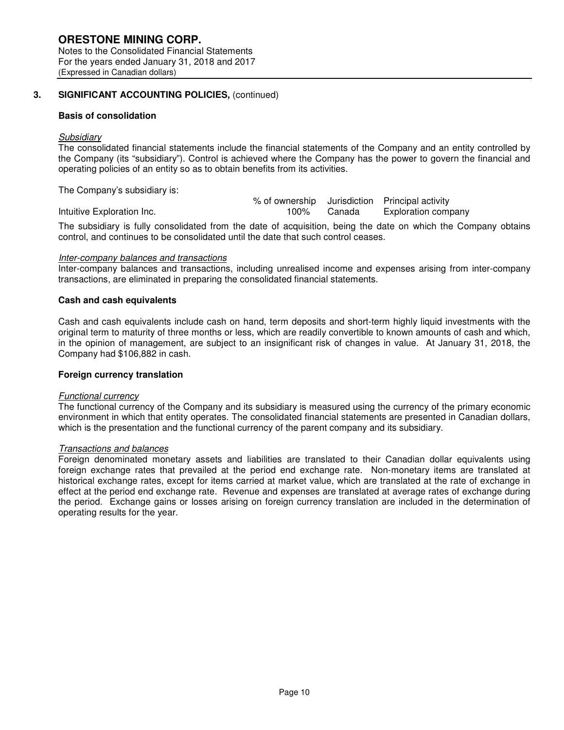## **3. SIGNIFICANT ACCOUNTING POLICIES,** (continued)

### **Basis of consolidation**

### **Subsidiary**

The consolidated financial statements include the financial statements of the Company and an entity controlled by the Company (its "subsidiary"). Control is achieved where the Company has the power to govern the financial and operating policies of an entity so as to obtain benefits from its activities.

The Company's subsidiary is:

% of ownership Jurisdiction Principal activity Intuitive Exploration Inc. 100% Canada Exploration company

The subsidiary is fully consolidated from the date of acquisition, being the date on which the Company obtains control, and continues to be consolidated until the date that such control ceases.

### Inter-company balances and transactions

Inter-company balances and transactions, including unrealised income and expenses arising from inter-company transactions, are eliminated in preparing the consolidated financial statements.

### **Cash and cash equivalents**

Cash and cash equivalents include cash on hand, term deposits and short-term highly liquid investments with the original term to maturity of three months or less, which are readily convertible to known amounts of cash and which, in the opinion of management, are subject to an insignificant risk of changes in value. At January 31, 2018, the Company had \$106,882 in cash.

## **Foreign currency translation**

#### Functional currency

The functional currency of the Company and its subsidiary is measured using the currency of the primary economic environment in which that entity operates. The consolidated financial statements are presented in Canadian dollars, which is the presentation and the functional currency of the parent company and its subsidiary.

#### Transactions and balances

Foreign denominated monetary assets and liabilities are translated to their Canadian dollar equivalents using foreign exchange rates that prevailed at the period end exchange rate. Non-monetary items are translated at historical exchange rates, except for items carried at market value, which are translated at the rate of exchange in effect at the period end exchange rate. Revenue and expenses are translated at average rates of exchange during the period. Exchange gains or losses arising on foreign currency translation are included in the determination of operating results for the year.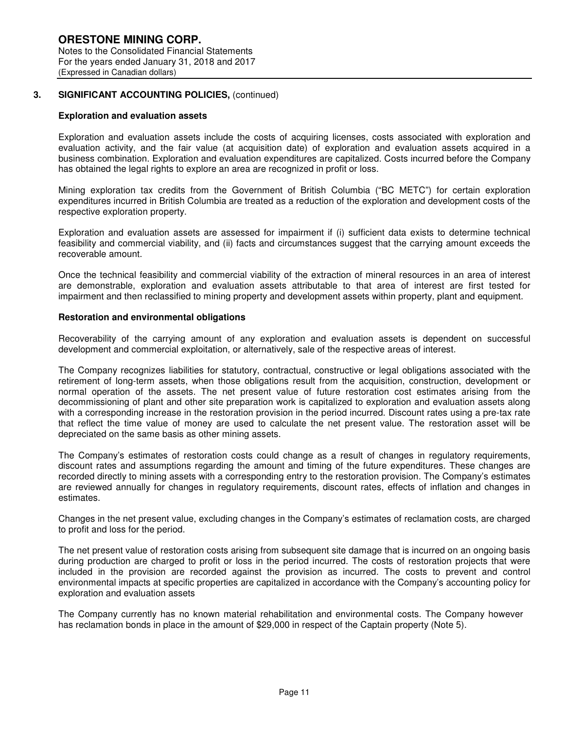#### **Exploration and evaluation assets**

Exploration and evaluation assets include the costs of acquiring licenses, costs associated with exploration and evaluation activity, and the fair value (at acquisition date) of exploration and evaluation assets acquired in a business combination. Exploration and evaluation expenditures are capitalized. Costs incurred before the Company has obtained the legal rights to explore an area are recognized in profit or loss.

Mining exploration tax credits from the Government of British Columbia ("BC METC") for certain exploration expenditures incurred in British Columbia are treated as a reduction of the exploration and development costs of the respective exploration property.

Exploration and evaluation assets are assessed for impairment if (i) sufficient data exists to determine technical feasibility and commercial viability, and (ii) facts and circumstances suggest that the carrying amount exceeds the recoverable amount.

Once the technical feasibility and commercial viability of the extraction of mineral resources in an area of interest are demonstrable, exploration and evaluation assets attributable to that area of interest are first tested for impairment and then reclassified to mining property and development assets within property, plant and equipment.

#### **Restoration and environmental obligations**

Recoverability of the carrying amount of any exploration and evaluation assets is dependent on successful development and commercial exploitation, or alternatively, sale of the respective areas of interest.

The Company recognizes liabilities for statutory, contractual, constructive or legal obligations associated with the retirement of long-term assets, when those obligations result from the acquisition, construction, development or normal operation of the assets. The net present value of future restoration cost estimates arising from the decommissioning of plant and other site preparation work is capitalized to exploration and evaluation assets along with a corresponding increase in the restoration provision in the period incurred. Discount rates using a pre-tax rate that reflect the time value of money are used to calculate the net present value. The restoration asset will be depreciated on the same basis as other mining assets.

The Company's estimates of restoration costs could change as a result of changes in regulatory requirements, discount rates and assumptions regarding the amount and timing of the future expenditures. These changes are recorded directly to mining assets with a corresponding entry to the restoration provision. The Company's estimates are reviewed annually for changes in regulatory requirements, discount rates, effects of inflation and changes in estimates.

Changes in the net present value, excluding changes in the Company's estimates of reclamation costs, are charged to profit and loss for the period.

The net present value of restoration costs arising from subsequent site damage that is incurred on an ongoing basis during production are charged to profit or loss in the period incurred. The costs of restoration projects that were included in the provision are recorded against the provision as incurred. The costs to prevent and control environmental impacts at specific properties are capitalized in accordance with the Company's accounting policy for exploration and evaluation assets

The Company currently has no known material rehabilitation and environmental costs. The Company however has reclamation bonds in place in the amount of \$29,000 in respect of the Captain property (Note 5).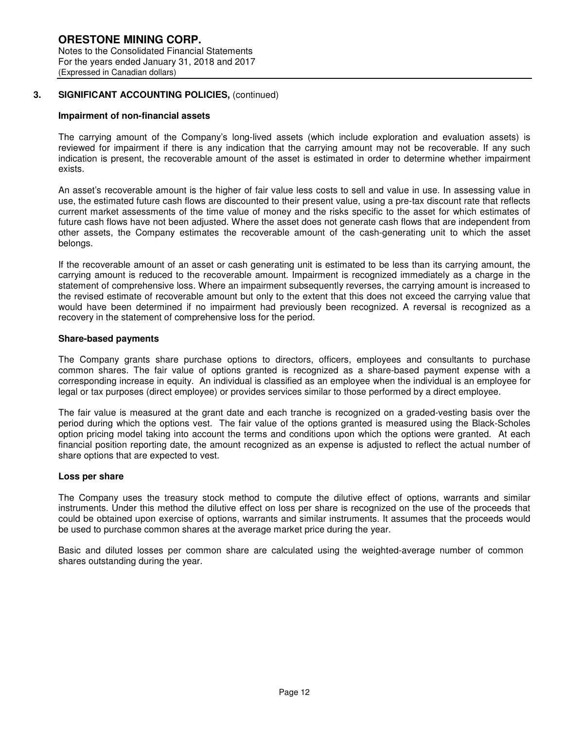#### **Impairment of non-financial assets**

The carrying amount of the Company's long-lived assets (which include exploration and evaluation assets) is reviewed for impairment if there is any indication that the carrying amount may not be recoverable. If any such indication is present, the recoverable amount of the asset is estimated in order to determine whether impairment exists.

An asset's recoverable amount is the higher of fair value less costs to sell and value in use. In assessing value in use, the estimated future cash flows are discounted to their present value, using a pre-tax discount rate that reflects current market assessments of the time value of money and the risks specific to the asset for which estimates of future cash flows have not been adjusted. Where the asset does not generate cash flows that are independent from other assets, the Company estimates the recoverable amount of the cash-generating unit to which the asset belongs.

If the recoverable amount of an asset or cash generating unit is estimated to be less than its carrying amount, the carrying amount is reduced to the recoverable amount. Impairment is recognized immediately as a charge in the statement of comprehensive loss. Where an impairment subsequently reverses, the carrying amount is increased to the revised estimate of recoverable amount but only to the extent that this does not exceed the carrying value that would have been determined if no impairment had previously been recognized. A reversal is recognized as a recovery in the statement of comprehensive loss for the period.

#### **Share-based payments**

The Company grants share purchase options to directors, officers, employees and consultants to purchase common shares. The fair value of options granted is recognized as a share-based payment expense with a corresponding increase in equity. An individual is classified as an employee when the individual is an employee for legal or tax purposes (direct employee) or provides services similar to those performed by a direct employee.

The fair value is measured at the grant date and each tranche is recognized on a graded-vesting basis over the period during which the options vest. The fair value of the options granted is measured using the Black-Scholes option pricing model taking into account the terms and conditions upon which the options were granted. At each financial position reporting date, the amount recognized as an expense is adjusted to reflect the actual number of share options that are expected to vest.

#### **Loss per share**

The Company uses the treasury stock method to compute the dilutive effect of options, warrants and similar instruments. Under this method the dilutive effect on loss per share is recognized on the use of the proceeds that could be obtained upon exercise of options, warrants and similar instruments. It assumes that the proceeds would be used to purchase common shares at the average market price during the year.

Basic and diluted losses per common share are calculated using the weighted-average number of common shares outstanding during the year.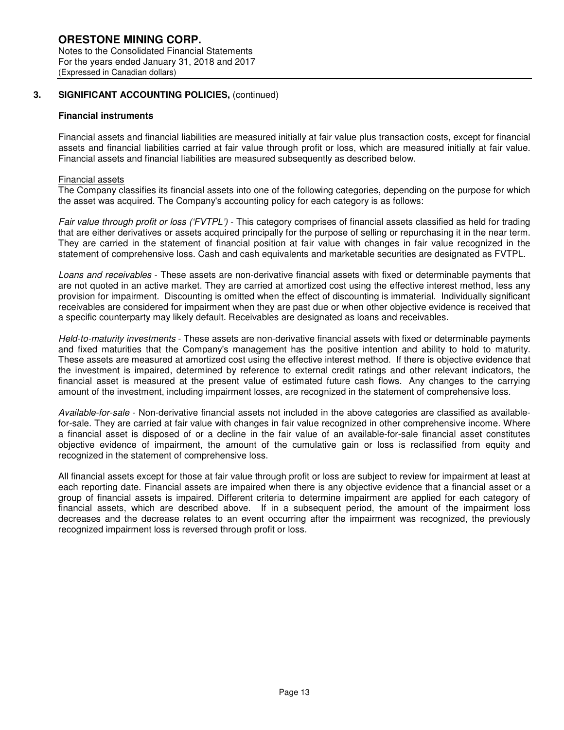#### **Financial instruments**

Financial assets and financial liabilities are measured initially at fair value plus transaction costs, except for financial assets and financial liabilities carried at fair value through profit or loss, which are measured initially at fair value. Financial assets and financial liabilities are measured subsequently as described below.

#### Financial assets

The Company classifies its financial assets into one of the following categories, depending on the purpose for which the asset was acquired. The Company's accounting policy for each category is as follows:

Fair value through profit or loss ('FVTPL') - This category comprises of financial assets classified as held for trading that are either derivatives or assets acquired principally for the purpose of selling or repurchasing it in the near term. They are carried in the statement of financial position at fair value with changes in fair value recognized in the statement of comprehensive loss. Cash and cash equivalents and marketable securities are designated as FVTPL.

Loans and receivables - These assets are non-derivative financial assets with fixed or determinable payments that are not quoted in an active market. They are carried at amortized cost using the effective interest method, less any provision for impairment. Discounting is omitted when the effect of discounting is immaterial. Individually significant receivables are considered for impairment when they are past due or when other objective evidence is received that a specific counterparty may likely default. Receivables are designated as loans and receivables.

Held-to-maturity investments - These assets are non-derivative financial assets with fixed or determinable payments and fixed maturities that the Company's management has the positive intention and ability to hold to maturity. These assets are measured at amortized cost using the effective interest method. If there is objective evidence that the investment is impaired, determined by reference to external credit ratings and other relevant indicators, the financial asset is measured at the present value of estimated future cash flows. Any changes to the carrying amount of the investment, including impairment losses, are recognized in the statement of comprehensive loss.

Available-for-sale - Non-derivative financial assets not included in the above categories are classified as availablefor-sale. They are carried at fair value with changes in fair value recognized in other comprehensive income. Where a financial asset is disposed of or a decline in the fair value of an available-for-sale financial asset constitutes objective evidence of impairment, the amount of the cumulative gain or loss is reclassified from equity and recognized in the statement of comprehensive loss.

All financial assets except for those at fair value through profit or loss are subject to review for impairment at least at each reporting date. Financial assets are impaired when there is any objective evidence that a financial asset or a group of financial assets is impaired. Different criteria to determine impairment are applied for each category of financial assets, which are described above. If in a subsequent period, the amount of the impairment loss decreases and the decrease relates to an event occurring after the impairment was recognized, the previously recognized impairment loss is reversed through profit or loss.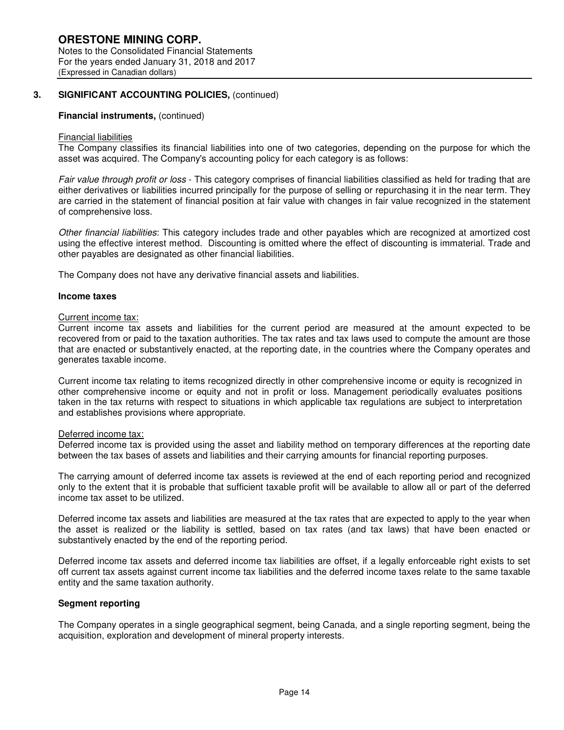# **ORESTONE MINING CORP.**

Notes to the Consolidated Financial Statements For the years ended January 31, 2018 and 2017 (Expressed in Canadian dollars)

#### **3. SIGNIFICANT ACCOUNTING POLICIES,** (continued)

#### **Financial instruments,** (continued)

#### Financial liabilities

The Company classifies its financial liabilities into one of two categories, depending on the purpose for which the asset was acquired. The Company's accounting policy for each category is as follows:

Fair value through profit or loss - This category comprises of financial liabilities classified as held for trading that are either derivatives or liabilities incurred principally for the purpose of selling or repurchasing it in the near term. They are carried in the statement of financial position at fair value with changes in fair value recognized in the statement of comprehensive loss.

Other financial liabilities: This category includes trade and other payables which are recognized at amortized cost using the effective interest method. Discounting is omitted where the effect of discounting is immaterial. Trade and other payables are designated as other financial liabilities.

The Company does not have any derivative financial assets and liabilities.

#### **Income taxes**

#### Current income tax:

Current income tax assets and liabilities for the current period are measured at the amount expected to be recovered from or paid to the taxation authorities. The tax rates and tax laws used to compute the amount are those that are enacted or substantively enacted, at the reporting date, in the countries where the Company operates and generates taxable income.

Current income tax relating to items recognized directly in other comprehensive income or equity is recognized in other comprehensive income or equity and not in profit or loss. Management periodically evaluates positions taken in the tax returns with respect to situations in which applicable tax regulations are subject to interpretation and establishes provisions where appropriate.

#### Deferred income tax:

Deferred income tax is provided using the asset and liability method on temporary differences at the reporting date between the tax bases of assets and liabilities and their carrying amounts for financial reporting purposes.

The carrying amount of deferred income tax assets is reviewed at the end of each reporting period and recognized only to the extent that it is probable that sufficient taxable profit will be available to allow all or part of the deferred income tax asset to be utilized.

Deferred income tax assets and liabilities are measured at the tax rates that are expected to apply to the year when the asset is realized or the liability is settled, based on tax rates (and tax laws) that have been enacted or substantively enacted by the end of the reporting period.

Deferred income tax assets and deferred income tax liabilities are offset, if a legally enforceable right exists to set off current tax assets against current income tax liabilities and the deferred income taxes relate to the same taxable entity and the same taxation authority.

#### **Segment reporting**

The Company operates in a single geographical segment, being Canada, and a single reporting segment, being the acquisition, exploration and development of mineral property interests.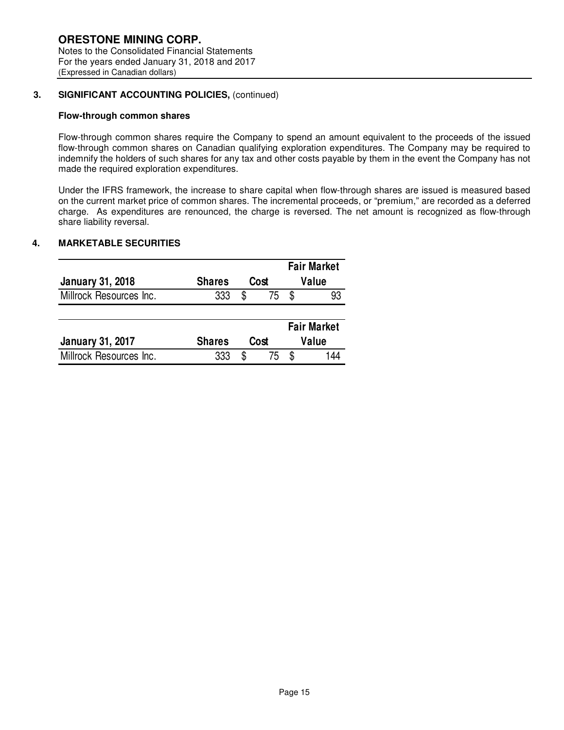#### **Flow-through common shares**

Flow-through common shares require the Company to spend an amount equivalent to the proceeds of the issued flow-through common shares on Canadian qualifying exploration expenditures. The Company may be required to indemnify the holders of such shares for any tax and other costs payable by them in the event the Company has not made the required exploration expenditures.

Under the IFRS framework, the increase to share capital when flow-through shares are issued is measured based on the current market price of common shares. The incremental proceeds, or "premium," are recorded as a deferred charge. As expenditures are renounced, the charge is reversed. The net amount is recognized as flow-through share liability reversal.

# **4. MARKETABLE SECURITIES**

|                         |               |      |      |                    | <b>Fair Market</b> |
|-------------------------|---------------|------|------|--------------------|--------------------|
| <b>January 31, 2018</b> | <b>Shares</b> |      | Cost |                    | Value              |
| Millrock Resources Inc. | 333           | \$   | 75   | \$                 | 93                 |
|                         |               |      |      |                    |                    |
|                         |               |      |      | <b>Fair Market</b> |                    |
| <b>January 31, 2017</b> | <b>Shares</b> | Cost |      |                    | Value              |
| Millrock Resources Inc. | 333           |      | 75   |                    | 144                |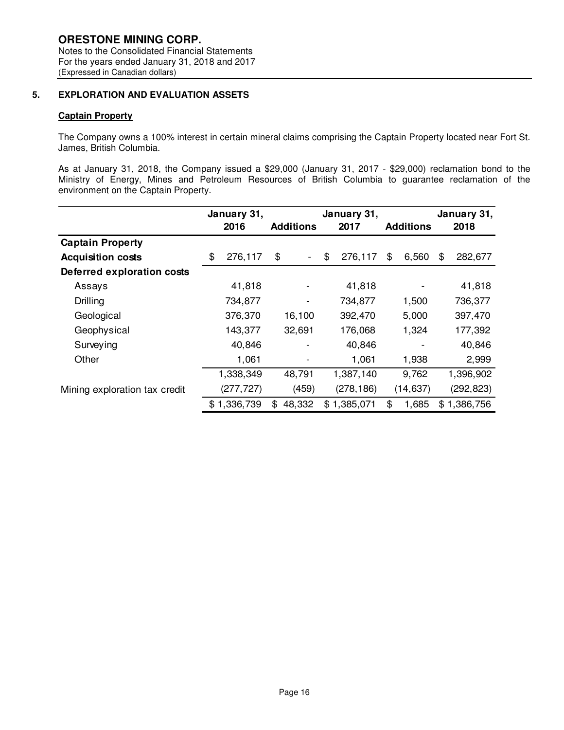### **5. EXPLORATION AND EVALUATION ASSETS**

#### **Captain Property**

The Company owns a 100% interest in certain mineral claims comprising the Captain Property located near Fort St. James, British Columbia.

As at January 31, 2018, the Company issued a \$29,000 (January 31, 2017 - \$29,000) reclamation bond to the Ministry of Energy, Mines and Petroleum Resources of British Columbia to guarantee reclamation of the environment on the Captain Property.

|                               | January 31, |             |    | January 31,              |    |            |    |                  | January 31, |            |  |
|-------------------------------|-------------|-------------|----|--------------------------|----|------------|----|------------------|-------------|------------|--|
|                               |             | 2016        |    | <b>Additions</b>         |    | 2017       |    | <b>Additions</b> |             | 2018       |  |
| <b>Captain Property</b>       |             |             |    |                          |    |            |    |                  |             |            |  |
| <b>Acquisition costs</b>      | \$          | 276,117     | \$ |                          | \$ | 276,117    | \$ | 6,560            | \$          | 282,677    |  |
| Deferred exploration costs    |             |             |    |                          |    |            |    |                  |             |            |  |
| Assays                        |             | 41,818      |    | $\overline{\phantom{a}}$ |    | 41,818     |    |                  |             | 41,818     |  |
| Drilling                      |             | 734,877     |    | $\overline{\phantom{a}}$ |    | 734,877    |    | 1,500            |             | 736,377    |  |
| Geological                    |             | 376,370     |    | 16,100                   |    | 392,470    |    | 5,000            |             | 397,470    |  |
| Geophysical                   |             | 143,377     |    | 32,691                   |    | 176,068    |    | 1,324            |             | 177,392    |  |
| Surveying                     |             | 40,846      |    |                          |    | 40,846     |    |                  |             | 40,846     |  |
| Other                         |             | 1,061       |    | -                        |    | 1,061      |    | 1,938            |             | 2,999      |  |
|                               |             | 1,338,349   |    | 48,791                   |    | 1,387,140  |    | 9,762            |             | 1,396,902  |  |
| Mining exploration tax credit |             | (277, 727)  |    | (459)                    |    | (278, 186) |    | (14, 637)        |             | (292, 823) |  |
|                               |             | \$1,336,739 | \$ | 48,332                   | \$ | 1,385,071  | \$ | 1,685            | \$          | 1,386,756  |  |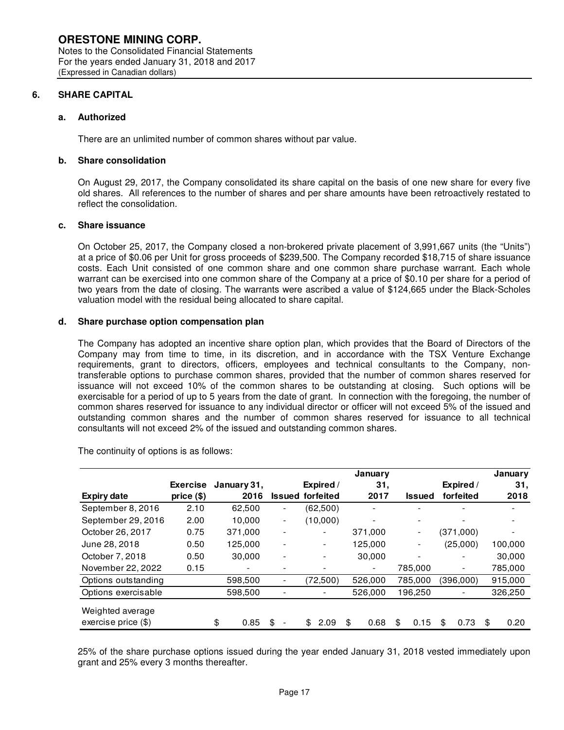### **6. SHARE CAPITAL**

#### **a. Authorized**

There are an unlimited number of common shares without par value.

#### **b. Share consolidation**

On August 29, 2017, the Company consolidated its share capital on the basis of one new share for every five old shares. All references to the number of shares and per share amounts have been retroactively restated to reflect the consolidation.

#### **c. Share issuance**

On October 25, 2017, the Company closed a non-brokered private placement of 3,991,667 units (the "Units") at a price of \$0.06 per Unit for gross proceeds of \$239,500. The Company recorded \$18,715 of share issuance costs. Each Unit consisted of one common share and one common share purchase warrant. Each whole warrant can be exercised into one common share of the Company at a price of \$0.10 per share for a period of two years from the date of closing. The warrants were ascribed a value of \$124,665 under the Black-Scholes valuation model with the residual being allocated to share capital.

### **d. Share purchase option compensation plan**

The Company has adopted an incentive share option plan, which provides that the Board of Directors of the Company may from time to time, in its discretion, and in accordance with the TSX Venture Exchange requirements, grant to directors, officers, employees and technical consultants to the Company, nontransferable options to purchase common shares, provided that the number of common shares reserved for issuance will not exceed 10% of the common shares to be outstanding at closing. Such options will be exercisable for a period of up to 5 years from the date of grant. In connection with the foregoing, the number of common shares reserved for issuance to any individual director or officer will not exceed 5% of the issued and outstanding common shares and the number of common shares reserved for issuance to all technical consultants will not exceed 2% of the issued and outstanding common shares.

|                       |                 |             |    |                          | January                  |               |            | January    |
|-----------------------|-----------------|-------------|----|--------------------------|--------------------------|---------------|------------|------------|
|                       | <b>Exercise</b> | January 31, |    | Expired /                | 31.                      |               | Expired /  | 31,        |
| Expiry date           | $price($)$      | 2016        |    | <b>Issued forfeited</b>  | 2017                     | <b>Issued</b> | forfeited  | 2018       |
| September 8, 2016     | 2.10            | 62,500      | -  | (62,500)                 |                          |               |            |            |
| September 29, 2016    | 2.00            | 10,000      | -  | (10,000)                 | $\overline{\phantom{a}}$ | ۰             | ۰          |            |
| October 26, 2017      | 0.75            | 371,000     |    | $\overline{\phantom{0}}$ | 371,000                  | -             | (371,000)  |            |
| June 28, 2018         | 0.50            | 125,000     | ۰  | $\overline{\phantom{a}}$ | 125,000                  | -             | (25,000)   | 100,000    |
| October 7, 2018       | 0.50            | 30.000      |    | $\overline{\phantom{0}}$ | 30,000                   | ۰             |            | 30,000     |
| November 22, 2022     | 0.15            | -           |    |                          | $\overline{\phantom{a}}$ | 785,000       | ۰          | 785,000    |
| Options outstanding   |                 | 598,500     |    | (72, 500)                | 526,000                  | 785.000       | (396,000)  | 915,000    |
| Options exercisable   |                 | 598,500     | ۰  |                          | 526,000                  | 196,250       |            | 326,250    |
| Weighted average      |                 |             |    |                          |                          |               |            |            |
| exercise price $(\$)$ |                 | \$<br>0.85  | \$ | \$<br>2.09               | \$<br>0.68               | \$<br>0.15    | \$<br>0.73 | \$<br>0.20 |

The continuity of options is as follows:

25% of the share purchase options issued during the year ended January 31, 2018 vested immediately upon grant and 25% every 3 months thereafter.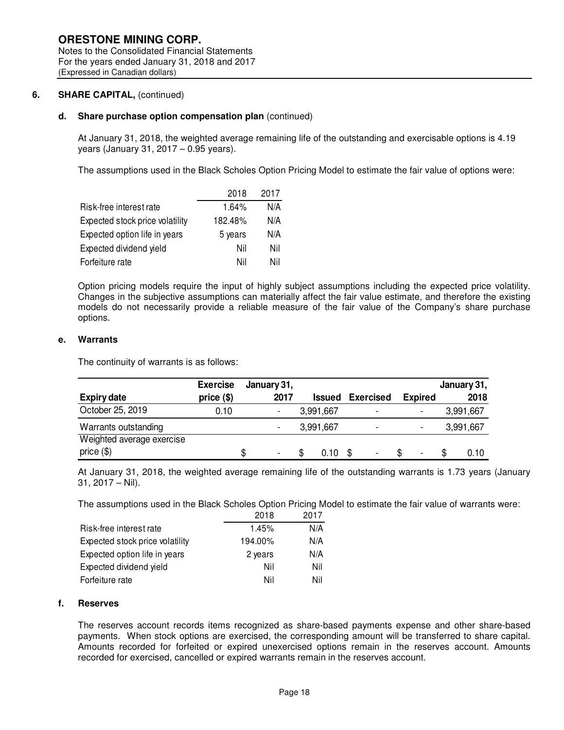## **6. SHARE CAPITAL,** (continued)

## **d. Share purchase option compensation plan** (continued)

At January 31, 2018, the weighted average remaining life of the outstanding and exercisable options is 4.19 years (January 31, 2017 – 0.95 years).

The assumptions used in the Black Scholes Option Pricing Model to estimate the fair value of options were:

|                                 | 2018    | 2017 |
|---------------------------------|---------|------|
| Risk-free interest rate         | 1.64%   | N/A  |
| Expected stock price volatility | 182.48% | N/A  |
| Expected option life in years   | 5 years | N/A  |
| Expected dividend yield         | Nil     | Nil  |
| Forfeiture rate                 | Nil     | Nil  |

Option pricing models require the input of highly subject assumptions including the expected price volatility. Changes in the subjective assumptions can materially affect the fair value estimate, and therefore the existing models do not necessarily provide a reliable measure of the fair value of the Company's share purchase options.

## **e. Warrants**

The continuity of warrants is as follows:

|                           | <b>Exercise</b> | January 31, |     |                   |                  |                |     | January 31, |
|---------------------------|-----------------|-------------|-----|-------------------|------------------|----------------|-----|-------------|
| <b>Expiry date</b>        | price(\$)       | 2017        |     | <b>Issued</b>     | <b>Exercised</b> | <b>Expired</b> |     | 2018        |
| October 25, 2019          | 0.10            | ۰           |     | 3,991,667         |                  | -              |     | 3,991,667   |
| Warrants outstanding      |                 | ۰           |     | 3,991,667         |                  |                |     | 3,991,667   |
| Weighted average exercise |                 |             |     |                   |                  |                |     |             |
| price $(\$)$              |                 | \$<br>٠     | \$. | 0.10 <sup>5</sup> | ۰                | \$.<br>-       | \$. | 0.10        |

At January 31, 2018, the weighted average remaining life of the outstanding warrants is 1.73 years (January  $31, 2017 -$  Nil).

The assumptions used in the Black Scholes Option Pricing Model to estimate the fair value of warrants were:

|                                 | 2018    | 2017 |
|---------------------------------|---------|------|
| Risk-free interest rate         | 1.45%   | N/A  |
| Expected stock price volatility | 194.00% | N/A  |
| Expected option life in years   | 2 years | N/A  |
| Expected dividend yield         | Nil     | Nil  |
| Forfeiture rate                 | Nil     | Nil  |

## **f. Reserves**

The reserves account records items recognized as share-based payments expense and other share-based payments. When stock options are exercised, the corresponding amount will be transferred to share capital. Amounts recorded for forfeited or expired unexercised options remain in the reserves account. Amounts recorded for exercised, cancelled or expired warrants remain in the reserves account.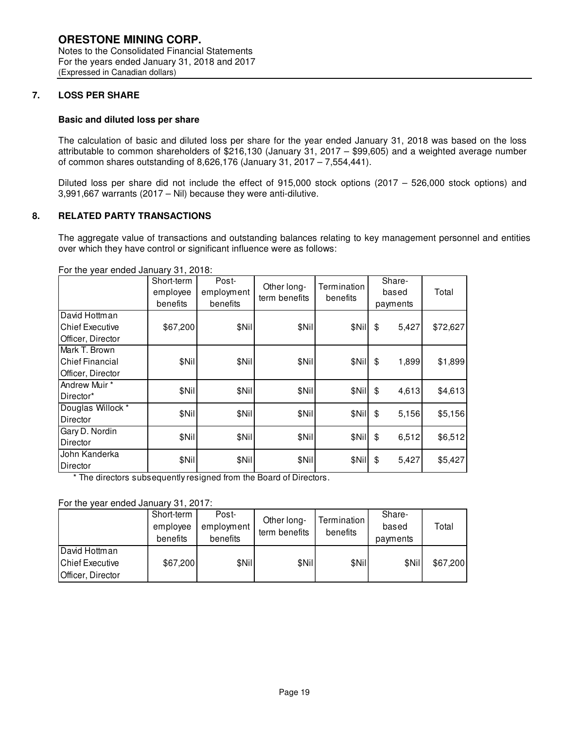### **7. LOSS PER SHARE**

#### **Basic and diluted loss per share**

The calculation of basic and diluted loss per share for the year ended January 31, 2018 was based on the loss attributable to common shareholders of \$216,130 (January 31, 2017 – \$99,605) and a weighted average number of common shares outstanding of 8,626,176 (January 31, 2017 – 7,554,441).

Diluted loss per share did not include the effect of 915,000 stock options (2017 – 526,000 stock options) and 3,991,667 warrants (2017 – Nil) because they were anti-dilutive.

### **8. RELATED PARTY TRANSACTIONS**

The aggregate value of transactions and outstanding balances relating to key management personnel and entities over which they have control or significant influence were as follows:

|                                                              | Short-term<br>employee<br>benefits | Post-<br>employment<br>benefits | Other long-<br>term benefits | Termination<br>benefits | Share-<br>based<br>payments | Total    |
|--------------------------------------------------------------|------------------------------------|---------------------------------|------------------------------|-------------------------|-----------------------------|----------|
| David Hottman<br><b>Chief Executive</b><br>Officer, Director | \$67,200                           | \$Nil                           | \$Nil                        | \$Nil                   | \$<br>5,427                 | \$72,627 |
| Mark T. Brown<br><b>Chief Financial</b><br>Officer, Director | \$Nil                              | \$Nil                           | \$Nil                        | \$Nil                   | \$<br>1,899                 | \$1,899  |
| Andrew Muir *<br>Director*                                   | \$Nil                              | \$Nil                           | \$Nil                        | \$Nil\$                 | 4,613                       | \$4,613  |
| Douglas Willock *<br>Director                                | \$Nil                              | \$Nil                           | \$Nil                        | \$Nil                   | -\$<br>5,156                | \$5,156  |
| Gary D. Nordin<br>Director                                   | \$Nil                              | \$Nil                           | \$Nil                        | \$Nil\$                 | 6,512                       | \$6,512  |
| John Kanderka<br>Director                                    | \$Nil                              | \$Nil                           | \$Nil                        | \$Nil                   | 5,427<br>\$                 | \$5,427  |

For the year ended January 31, 2018:

\* The directors subsequently resigned from the Board of Directors.

For the year ended January 31, 2017:

|                        | Short-term | Post-      | Other long-   | Termination<br>benefits | Share-   |          |  |
|------------------------|------------|------------|---------------|-------------------------|----------|----------|--|
|                        | employee   | employment | term benefits |                         | based    | Total    |  |
|                        | benefits   | benefits   |               |                         | payments |          |  |
| David Hottman          |            |            |               |                         |          |          |  |
| <b>Chief Executive</b> | \$67,200   | \$Nil      | \$Nil         | \$Nil                   | \$Nil    | \$67,200 |  |
| Officer, Director      |            |            |               |                         |          |          |  |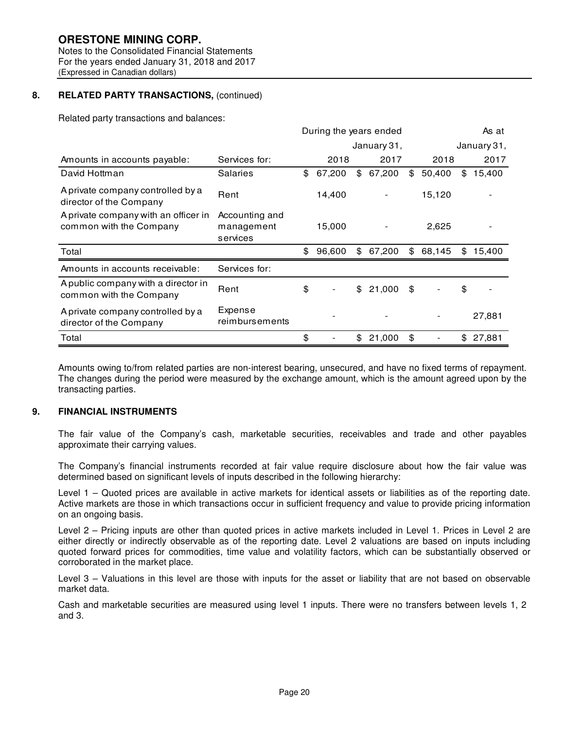## **8. RELATED PARTY TRANSACTIONS,** (continued)

Related party transactions and balances:

|                                                                 |                                          | During the years ended |             |    |          |             |        | As at |        |
|-----------------------------------------------------------------|------------------------------------------|------------------------|-------------|----|----------|-------------|--------|-------|--------|
|                                                                 |                                          |                        | January 31, |    |          | January 31, |        |       |        |
| Amounts in accounts payable:                                    | Services for:                            |                        | 2018        |    | 2017     |             | 2018   |       | 2017   |
| David Hottman                                                   | <b>Salaries</b>                          | \$                     | 67,200      | \$ | 67,200   | \$          | 50,400 | \$    | 15,400 |
| A private company controlled by a<br>director of the Company    | Rent                                     |                        | 14,400      |    |          |             | 15,120 |       |        |
| A private company with an officer in<br>common with the Company | Accounting and<br>management<br>services |                        | 15,000      |    |          |             | 2,625  |       |        |
| Total                                                           |                                          | \$                     | 96,600      | \$ | 67,200   | \$          | 68,145 | \$    | 15,400 |
| Amounts in accounts receivable:                                 | Services for:                            |                        |             |    |          |             |        |       |        |
| A public company with a director in<br>common with the Company  | Rent                                     | \$                     |             |    | \$21,000 | - \$        |        | \$    |        |
| A private company controlled by a<br>director of the Company    | Expense<br>reimbursements                |                        |             |    |          |             |        |       | 27,881 |
| Total                                                           |                                          | \$                     |             | \$ | 21,000   | \$          |        | \$    | 27,881 |

Amounts owing to/from related parties are non-interest bearing, unsecured, and have no fixed terms of repayment. The changes during the period were measured by the exchange amount, which is the amount agreed upon by the transacting parties.

## **9. FINANCIAL INSTRUMENTS**

The fair value of the Company's cash, marketable securities, receivables and trade and other payables approximate their carrying values.

The Company's financial instruments recorded at fair value require disclosure about how the fair value was determined based on significant levels of inputs described in the following hierarchy:

Level 1 – Quoted prices are available in active markets for identical assets or liabilities as of the reporting date. Active markets are those in which transactions occur in sufficient frequency and value to provide pricing information on an ongoing basis.

Level 2 – Pricing inputs are other than quoted prices in active markets included in Level 1. Prices in Level 2 are either directly or indirectly observable as of the reporting date. Level 2 valuations are based on inputs including quoted forward prices for commodities, time value and volatility factors, which can be substantially observed or corroborated in the market place.

Level 3 – Valuations in this level are those with inputs for the asset or liability that are not based on observable market data.

Cash and marketable securities are measured using level 1 inputs. There were no transfers between levels 1, 2 and 3.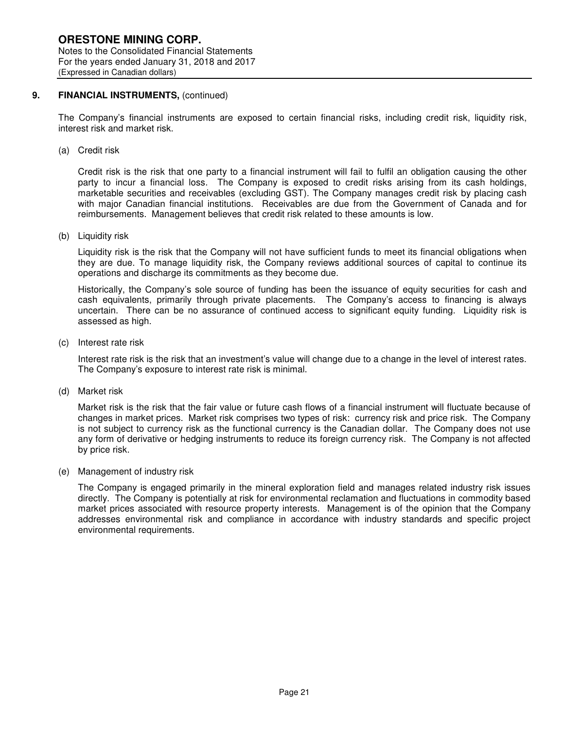#### **9. FINANCIAL INSTRUMENTS,** (continued)

The Company's financial instruments are exposed to certain financial risks, including credit risk, liquidity risk, interest risk and market risk.

(a) Credit risk

Credit risk is the risk that one party to a financial instrument will fail to fulfil an obligation causing the other party to incur a financial loss. The Company is exposed to credit risks arising from its cash holdings, marketable securities and receivables (excluding GST). The Company manages credit risk by placing cash with major Canadian financial institutions. Receivables are due from the Government of Canada and for reimbursements. Management believes that credit risk related to these amounts is low.

(b) Liquidity risk

Liquidity risk is the risk that the Company will not have sufficient funds to meet its financial obligations when they are due. To manage liquidity risk, the Company reviews additional sources of capital to continue its operations and discharge its commitments as they become due.

Historically, the Company's sole source of funding has been the issuance of equity securities for cash and cash equivalents, primarily through private placements. The Company's access to financing is always uncertain. There can be no assurance of continued access to significant equity funding. Liquidity risk is assessed as high.

(c) Interest rate risk

Interest rate risk is the risk that an investment's value will change due to a change in the level of interest rates. The Company's exposure to interest rate risk is minimal.

(d) Market risk

Market risk is the risk that the fair value or future cash flows of a financial instrument will fluctuate because of changes in market prices. Market risk comprises two types of risk: currency risk and price risk. The Company is not subject to currency risk as the functional currency is the Canadian dollar. The Company does not use any form of derivative or hedging instruments to reduce its foreign currency risk. The Company is not affected by price risk.

(e) Management of industry risk

The Company is engaged primarily in the mineral exploration field and manages related industry risk issues directly. The Company is potentially at risk for environmental reclamation and fluctuations in commodity based market prices associated with resource property interests. Management is of the opinion that the Company addresses environmental risk and compliance in accordance with industry standards and specific project environmental requirements.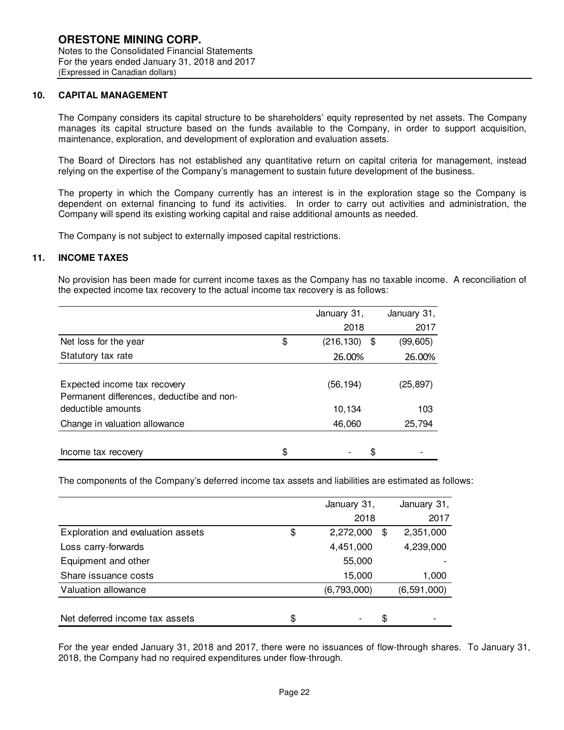### **10. CAPITAL MANAGEMENT**

The Company considers its capital structure to be shareholders' equity represented by net assets. The Company manages its capital structure based on the funds available to the Company, in order to support acquisition, maintenance, exploration, and development of exploration and evaluation assets.

The Board of Directors has not established any quantitative return on capital criteria for management, instead relying on the expertise of the Company's management to sustain future development of the business.

The property in which the Company currently has an interest is in the exploration stage so the Company is dependent on external financing to fund its activities. In order to carry out activities and administration, the Company will spend its existing working capital and raise additional amounts as needed.

The Company is not subject to externally imposed capital restrictions.

#### **11. INCOME TAXES**

No provision has been made for current income taxes as the Company has no taxable income. A reconciliation of the expected income tax recovery to the actual income tax recovery is as follows:

|                                                                                                 | January 31,           | January 31,   |
|-------------------------------------------------------------------------------------------------|-----------------------|---------------|
|                                                                                                 | 2018                  | 2017          |
| Net loss for the year                                                                           | \$<br>(216,130)<br>\$ | (99, 605)     |
| Statutory tax rate                                                                              | 26.00%                | 26.00%        |
| Expected income tax recovery<br>Permanent differences, deductibe and non-<br>deductible amounts | (56,194)              | (25, 897)     |
| Change in valuation allowance                                                                   | 10,134<br>46,060      | 103<br>25,794 |
| Income tax recovery                                                                             | \$<br>S               |               |
|                                                                                                 |                       |               |

The components of the Company's deferred income tax assets and liabilities are estimated as follows:

|                                   | January 31,           | January 31,   |
|-----------------------------------|-----------------------|---------------|
|                                   | 2018                  | 2017          |
| Exploration and evaluation assets | \$<br>2,272,000<br>\$ | 2,351,000     |
| Loss carry-forwards               | 4,451,000             | 4,239,000     |
| Equipment and other               | 55,000                |               |
| Share issuance costs              | 15,000                | 1,000         |
| Valuation allowance               | (6,793,000)           | (6, 591, 000) |
|                                   |                       |               |
| Net deferred income tax assets    | \$<br>\$              |               |

For the year ended January 31, 2018 and 2017, there were no issuances of flow-through shares. To January 31, 2018, the Company had no required expenditures under flow-through.